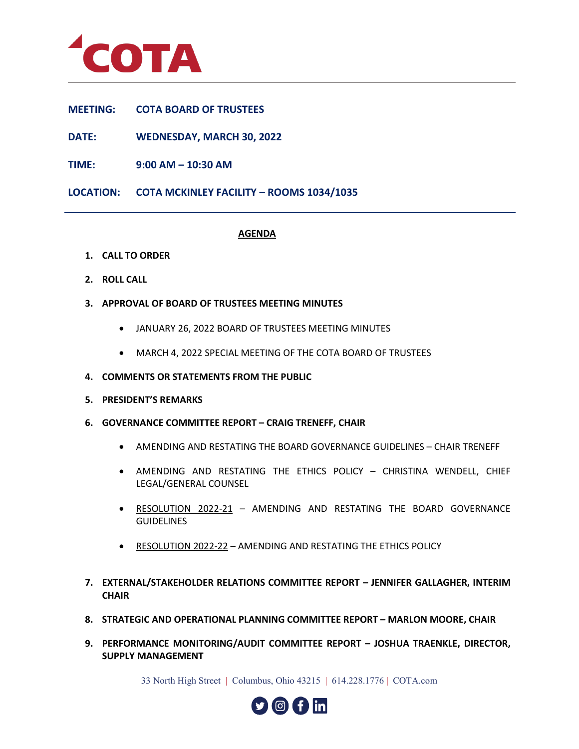

**MEETING: COTA BOARD OF TRUSTEES**

**DATE: WEDNESDAY, MARCH 30, 2022**

**TIME: 9:00 AM – 10:30 AM** 

**LOCATION: COTA MCKINLEY FACILITY – ROOMS 1034/1035**

## **AGENDA**

- **1. CALL TO ORDER**
- **2. ROLL CALL**
- **3. APPROVAL OF BOARD OF TRUSTEES MEETING MINUTES**
	- JANUARY 26, 2022 BOARD OF TRUSTEES MEETING MINUTES
	- MARCH 4, 2022 SPECIAL MEETING OF THE COTA BOARD OF TRUSTEES
- **4. COMMENTS OR STATEMENTS FROM THE PUBLIC**
- **5. PRESIDENT'S REMARKS**
- **6. GOVERNANCE COMMITTEE REPORT CRAIG TRENEFF, CHAIR**
	- AMENDING AND RESTATING THE BOARD GOVERNANCE GUIDELINES CHAIR TRENEFF
	- AMENDING AND RESTATING THE ETHICS POLICY CHRISTINA WENDELL, CHIEF LEGAL/GENERAL COUNSEL
	- RESOLUTION 2022-21 AMENDING AND RESTATING THE BOARD GOVERNANCE GUIDELINES
	- RESOLUTION 2022-22 AMENDING AND RESTATING THE ETHICS POLICY
- **7. EXTERNAL/STAKEHOLDER RELATIONS COMMITTEE REPORT JENNIFER GALLAGHER, INTERIM CHAIR**
- **8. STRATEGIC AND OPERATIONAL PLANNING COMMITTEE REPORT MARLON MOORE, CHAIR**
- **9. PERFORMANCE MONITORING/AUDIT COMMITTEE REPORT JOSHUA TRAENKLE, DIRECTOR, SUPPLY MANAGEMENT**

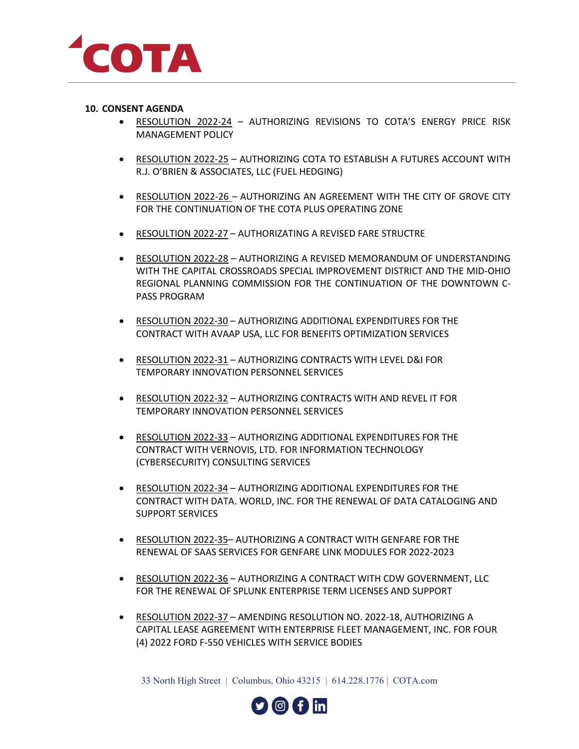

## **10. CONSENT AGENDA**

- RESOLUTION 2022-24 AUTHORIZING REVISIONS TO COTA'S ENERGY PRICE RISK MANAGEMENT POLICY
- RESOLUTION 2022-25 AUTHORIZING COTA TO ESTABLISH A FUTURES ACCOUNT WITH R.J. O'BRIEN & ASSOCIATES, LLC (FUEL HEDGING)
- RESOLUTION 2022-26 AUTHORIZING AN AGREEMENT WITH THE CITY OF GROVE CITY FOR THE CONTINUATION OF THE COTA PLUS OPERATING ZONE
- RESOULTION 2022-27 AUTHORIZATING A REVISED FARE STRUCTRE
- RESOLUTION 2022-28 AUTHORIZING A REVISED MEMORANDUM OF UNDERSTANDING WITH THE CAPITAL CROSSROADS SPECIAL IMPROVEMENT DISTRICT AND THE MID-OHIO REGIONAL PLANNING COMMISSION FOR THE CONTINUATION OF THE DOWNTOWN C-PASS PROGRAM
- RESOLUTION 2022-30 AUTHORIZING ADDITIONAL EXPENDITURES FOR THE CONTRACT WITH AVAAP USA, LLC FOR BENEFITS OPTIMIZATION SERVICES
- RESOLUTION 2022-31 AUTHORIZING CONTRACTS WITH LEVEL D&I FOR TEMPORARY INNOVATION PERSONNEL SERVICES
- RESOLUTION 2022-32 AUTHORIZING CONTRACTS WITH AND REVEL IT FOR TEMPORARY INNOVATION PERSONNEL SERVICES
- RESOLUTION 2022-33 AUTHORIZING ADDITIONAL EXPENDITURES FOR THE CONTRACT WITH VERNOVIS, LTD. FOR INFORMATION TECHNOLOGY (CYBERSECURITY) CONSULTING SERVICES
- RESOLUTION 2022-34 AUTHORIZING ADDITIONAL EXPENDITURES FOR THE CONTRACT WITH DATA. WORLD, INC. FOR THE RENEWAL OF DATA CATALOGING AND SUPPORT SERVICES
- RESOLUTION 2022-35– AUTHORIZING A CONTRACT WITH GENFARE FOR THE RENEWAL OF SAAS SERVICES FOR GENFARE LINK MODULES FOR 2022-2023
- RESOLUTION 2022-36 AUTHORIZING A CONTRACT WITH CDW GOVERNMENT, LLC FOR THE RENEWAL OF SPLUNK ENTERPRISE TERM LICENSES AND SUPPORT
- RESOLUTION 2022-37 AMENDING RESOLUTION NO. 2022-18, AUTHORIZING A CAPITAL LEASE AGREEMENT WITH ENTERPRISE FLEET MANAGEMENT, INC. FOR FOUR (4) 2022 FORD F-550 VEHICLES WITH SERVICE BODIES

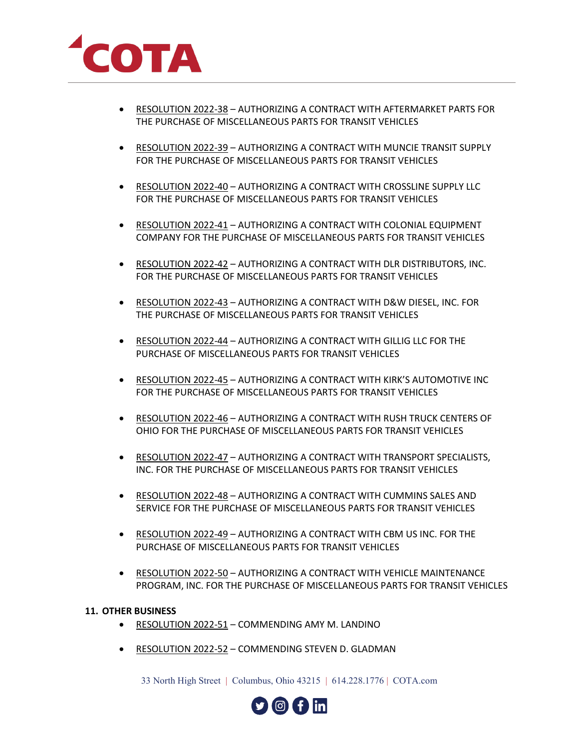

- RESOLUTION 2022-38 AUTHORIZING A CONTRACT WITH AFTERMARKET PARTS FOR THE PURCHASE OF MISCELLANEOUS PARTS FOR TRANSIT VEHICLES
- RESOLUTION 2022-39 AUTHORIZING A CONTRACT WITH MUNCIE TRANSIT SUPPLY FOR THE PURCHASE OF MISCELLANEOUS PARTS FOR TRANSIT VEHICLES
- RESOLUTION 2022-40 AUTHORIZING A CONTRACT WITH CROSSLINE SUPPLY LLC FOR THE PURCHASE OF MISCELLANEOUS PARTS FOR TRANSIT VEHICLES
- RESOLUTION 2022-41 AUTHORIZING A CONTRACT WITH COLONIAL EQUIPMENT COMPANY FOR THE PURCHASE OF MISCELLANEOUS PARTS FOR TRANSIT VEHICLES
- RESOLUTION 2022-42 AUTHORIZING A CONTRACT WITH DLR DISTRIBUTORS, INC. FOR THE PURCHASE OF MISCELLANEOUS PARTS FOR TRANSIT VEHICLES
- RESOLUTION 2022-43 AUTHORIZING A CONTRACT WITH D&W DIESEL, INC. FOR THE PURCHASE OF MISCELLANEOUS PARTS FOR TRANSIT VEHICLES
- RESOLUTION 2022-44 AUTHORIZING A CONTRACT WITH GILLIG LLC FOR THE PURCHASE OF MISCELLANEOUS PARTS FOR TRANSIT VEHICLES
- RESOLUTION 2022-45 AUTHORIZING A CONTRACT WITH KIRK'S AUTOMOTIVE INC FOR THE PURCHASE OF MISCELLANEOUS PARTS FOR TRANSIT VEHICLES
- RESOLUTION 2022-46 AUTHORIZING A CONTRACT WITH RUSH TRUCK CENTERS OF OHIO FOR THE PURCHASE OF MISCELLANEOUS PARTS FOR TRANSIT VEHICLES
- RESOLUTION 2022-47 AUTHORIZING A CONTRACT WITH TRANSPORT SPECIALISTS, INC. FOR THE PURCHASE OF MISCELLANEOUS PARTS FOR TRANSIT VEHICLES
- RESOLUTION 2022-48 AUTHORIZING A CONTRACT WITH CUMMINS SALES AND SERVICE FOR THE PURCHASE OF MISCELLANEOUS PARTS FOR TRANSIT VEHICLES
- RESOLUTION 2022-49 AUTHORIZING A CONTRACT WITH CBM US INC. FOR THE PURCHASE OF MISCELLANEOUS PARTS FOR TRANSIT VEHICLES
- RESOLUTION 2022-50 AUTHORIZING A CONTRACT WITH VEHICLE MAINTENANCE PROGRAM, INC. FOR THE PURCHASE OF MISCELLANEOUS PARTS FOR TRANSIT VEHICLES

## **11. OTHER BUSINESS**

- RESOLUTION 2022-51 COMMENDING AMY M. LANDINO
- RESOLUTION 2022-52 COMMENDING STEVEN D. GLADMAN